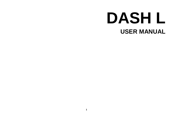# **DASH L USER MANUAL**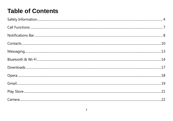### **Table of Contents**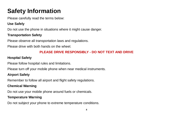### <span id="page-3-0"></span>**Safety Information**

Please carefully read the terms below:

#### **Use Safely**

Do not use the phone in situations where it might cause danger.

#### **Transportation Safety**

Please observe all transportation laws and regulations.

Please drive with both hands on the wheel.

#### **PLEASE DRIVE RESPONSIBLY - DO NOT TEXT AND DRIVE**

#### **Hospital Safety**

Please follow hospital rules and limitations.

Please turn off your mobile phone when near medical instruments.

#### **Airport Safety**

Remember to follow all airport and flight safety regulations.

#### **Chemical Warning**

Do not use your mobile phone around fuels or chemicals.

#### **Temperature Warning**

Do not subject your phone to extreme temperature conditions.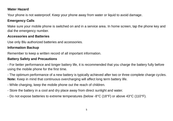#### **Water Hazard**

Your phone is not waterproof. Keep your phone away from water or liquid to avoid damage.

#### **Emergency Calls**

Make sure your mobile phone is switched on and in a service area. In home screen, tap the phone key and dial the emergency number.

#### **Accessories and Batteries**

Use only Blu authorized batteries and accessories.

#### **Information Backup**

Remember to keep a written record of all important information.

#### **Battery Safety and Precautions**

- For better performance and longer battery life, it is recommended that you charge the battery fully before using the mobile phone for the first time.

- The optimum performance of a new battery is typically achieved after two or three complete charge cycles. **Note:** Keep in mind that continuous overcharging will affect long term battery life.

- While charging, keep the mobile phone out the reach of children.
- Store the battery in a cool and dry place away from direct sunlight and water.
- Do not expose batteries to extreme temperatures (below -8°C (18°F) or above 43°C (110°F).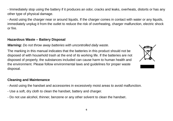- Immediately stop using the battery if it produces an odor, cracks and leaks, overheats, distorts or has any other type of physical damage.

- Avoid using the charger near or around liquids. If the charger comes in contact with water or any liquids, immediately unplug it from the outlet to reduce the risk of overheating, charger malfunction, electric shock or fire.

#### **Hazardous Waste – Battery Disposal**

#### *Warning: Do not throw away batteries with uncontrolled daily waste*.

The marking in this manual indicates that the batteries in this product should not be disposed of with household trash at the end of its working life. If the batteries are not disposed of properly, the substances included can cause harm to human health and the environment. Please follow environmental laws and guidelines for proper waste disposal.

#### **Cleaning and Maintenance**

- Avoid using the handset and accessories in excessively moist areas to avoid malfunction.
- Use a soft, dry cloth to clean the handset, battery and charger.
- Do not use alcohol, thinner, benzene or any other solvent to clean the handset.

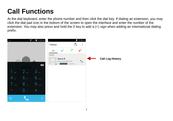## <span id="page-6-0"></span>**Call Functions**

At the dial keyboard, enter the phone number and then click the dial key. If dialing an extension, you may click the dial pad icon in the bottom of the screen to open the interface and enter the number of the extension. You may also press and hold the 0 key to add a (+) sign when adding an international dialing prefix.

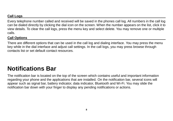#### **Call Logs**

Every telephone number called and received will be saved in the phones call log. All numbers in the call log can be dialed directly by clicking the dial icon on the screen. When the number appears on the list, click it to view details. To clear the call logs, press the menu key and select delete. You may remove one or multiple calls.

#### **Call Options**

There are different options that can be used in the call log and dialing interface. You may press the menu key while in the dial interface and adjust call settings. In the call logs, you may press browse through contacts list or set default contact resources.

### <span id="page-7-0"></span>**Notifications Bar**

The notification bar is located on the top of the screen which contains useful and important information regarding your phone and the applications that are installed. On the notification bar, several icons will appear such as signal bar, battery indicator, data indicator, Bluetooth and Wi-Fi. You may slide the notification bar down with your finger to display any pending notifications or actions.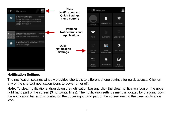

#### **Notification Settings**

The notification settings window provides shortcuts to different phone settings for quick access. Click on any of the shortcut notification icons to power on or off.

**Note:** To clear notifications, drag down the notification bar and click the clear notification icon on the upper right hand part of the screen (3 horizontal lines). The notification settings menu is located by dragging down the notification bar and is located on the upper right hand part of the screen next to the clear notification icon.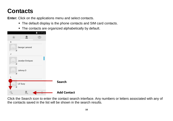### <span id="page-9-0"></span>**Contacts**

**Enter:** Click on the applications menu and select contacts.

- The default display is the phone contacts and SIM card contacts.
- The contacts are organized alphabetically by default.

|                  | 11:17 AM |                    |
|------------------|----------|--------------------|
|                  |          |                    |
| G                |          |                    |
| George Lamond    |          |                    |
|                  |          |                    |
| Jocelyn Enriquez |          |                    |
| Johnny O         |          |                    |
|                  |          |                    |
| Lil' Suzy        |          | Search             |
|                  |          | <b>Add Contact</b> |

Click the Search icon to enter the contact search interface. Any numbers or letters associated with any of the contacts saved in the list will be shown in the search results.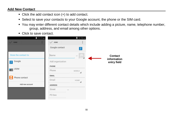#### **Add New Contact**

- Click the add contact icon (+) to add contact.
- Select to save your contacts to your Google account, the phone or the SIM card.
- You may enter different contact details which include adding a picture, name, telephone number, group, address, and email among other options.
- **Click to save contact.**

|                      | 11:17 AM |                      | 12:16 РМ      |                        |
|----------------------|----------|----------------------|---------------|------------------------|
| $\sqrt{}$ DONE       | E.       | $\checkmark$<br>DONE |               |                        |
|                      |          | Google contact       | 8             |                        |
| Store the contact to |          | Name                 | $\vee$ $\Box$ | Contact<br>information |
| Google<br> 8         |          | Add organization     |               | entry field            |
|                      |          | PHONE                |               |                        |
| USIM                 |          | Phone                | MOBILE<br>◢   |                        |
|                      |          | <b>EMAIL</b>         |               |                        |
| Phone contact        |          | Email                | HOME.<br>◢    |                        |
| Add new account      |          | <b>ADDRESS</b>       |               |                        |
|                      |          | Street               | $\sim$        |                        |
|                      |          | PO box               |               |                        |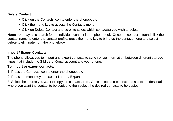#### **Delete Contact**

- Click on the Contacts icon to enter the phonebook.
- Click the menu key to access the Contacts menu.
- Click on Delete Contact and scroll to select which contact(s) you wish to delete.

**Note:** You may also search for an individual contact in the phonebook. Once the contact is found click the contact name to enter the contact profile, press the menu key to bring up the contact menu and select delete to eliminate from the phonebook.

#### **Import / Export Contacts**

The phone allows you to import and export contacts to synchronize information between different storage types that include the SIM card, Gmail account and your phone.

#### **To import or export contacts:**

- 1. Press the Contacts icon to enter the phonebook.
- 2. Press the menu key and select Import / Export

3. Select the source you want to copy the contacts from. Once selected click next and select the destination where you want the contact to be copied to then select the desired contacts to be copied.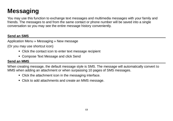### <span id="page-12-0"></span>**Messaging**

You may use this function to exchange text messages and multimedia messages with your family and friends. The messages to and from the same contact or phone number will be saved into a single conversation so you may see the entire message history conveniently.

#### **Send an SMS**

Application Menu » Messaging » New message

(Or you may use shortcut icon)

- Click the contact icon to enter text message recipient
- Compose Text Message and click Send

#### **Send an MMS**

When creating message, the default message style is SMS. The message will automatically convert to MMS when adding an attachment or when surpassing 10 pages of SMS messages.

- Click the attachment icon in the messaging interface.
- Click to add attachments and create an MMS message.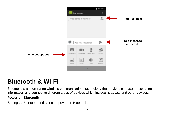

### <span id="page-13-0"></span>**Bluetooth & Wi-Fi**

Bluetooth is a short-range wireless communications technology that devices can use to exchange information and connect to different types of devices which include headsets and other devices.

#### **Power on Bluetooth**

Settings » Bluetooth and select to power on Bluetooth.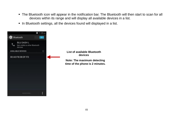- The Bluetooth icon will appear in the notification bar. The Bluetooth will then start to scan for all devices within its range and will display all available devices in a list.
- In Bluetooth settings, all the devices found will displayed in a list.



**List of available Bluetooth devices Note: The maximum detecting** 

**time of the phone is 2 minutes.**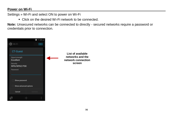#### **Power on Wi-Fi**

Settings » Wi-Fi and select ON to power on Wi-Fi

Click on the desired Wi-Fi network to be connected.

**Note:** Unsecured networks can be connected to directly - secured networks require a password or credentials prior to connection.

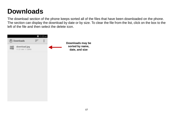## <span id="page-16-0"></span>**Downloads**

The download section of the phone keeps sorted all of the files that have been downloaded on the phone. The section can display the download by date or by size. To clear the file from the list, click on the box to the left of the file and then select the delete icon.

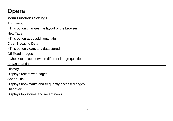### <span id="page-17-0"></span>**Opera**

#### **Menu Functions Settings**

App Layout

• This option changes the layout of the browser New Tabs

• This option adds additional tabs

Clear Browsing Data

• This option clears any data stored

Off Road Images

• Check to select between different image qualities

Browser Options

#### **History**

Displays recent web pages

#### **Speed Dial**

Displays bookmarks and frequently accessed pages

#### **Discover**

Displays top stories and recent news.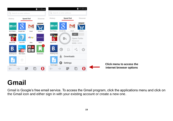

### <span id="page-18-0"></span>**Gmail**

Gmail is Google's free email service. To access the Gmail program, click the applications menu and click on the Gmail icon and either sign in with your existing account or create a new one.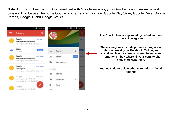**Note:** In order to keep accounts streamlined with Google services, your Gmail account user name and password will be used for some Google programs which include: Google Play Store, Google Drive, Google Photos, Google +, and Google Wallet.



**The Gmail inbox is separated by default in three different categories.**

**These categories include primary inbox, social inbox where all your Facebook, Twitter, and social media emails are separated to and your Promotions inbox where all your commercial emails are separated.** 

**You may add or delete other categories in Gmail settings**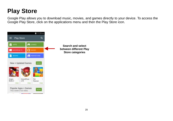### <span id="page-20-0"></span>**Play Store**

Google Play allows you to download music, movies, and games directly to your device. To access the Google Play Store, click on the applications menu and then the Play Store icon.

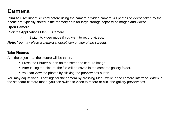### <span id="page-21-0"></span>**Camera**

**Prior to use:** Insert SD card before using the camera or video camera. All photos or videos taken by the phone are typically stored in the memory card for large storage capacity of images and videos.

#### **Open Camera**

Click the Applications Menu » Camera

 $\rightarrow$  Switch to video mode if you want to record videos.

*Note: You may place a camera shortcut icon on any of the screens*

#### **Take Pictures**

Aim the object that the picture will be taken.

- **Press the Shutter button on the screen to capture image.**
- After taking the picture, the file will be saved in the cameras gallery folder.
- You can view the photos by clicking the preview box button.

You may adjust various settings for the camera by pressing Menu while in the camera interface. When in the standard camera mode, you can switch to video to record or click the gallery preview box.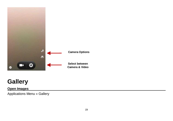

### <span id="page-22-0"></span>**Gallery**

#### **Open Images**

Applications Menu » Gallery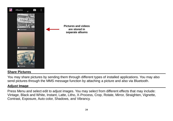

#### **Share Pictures**

You may share pictures by sending them through different types of installed applications. You may also send pictures through the MMS message function by attaching a picture and also via Bluetooth.

#### **Adjust Image**

Press Menu and select edit to adjust images. You may select from different effects that may include: Vintage, Black and White, Instant, Latte, Litho, X-Process, Crop, Rotate, Mirror, Straighten, Vignette, Contrast, Exposure, Auto color, Shadows, and Vibrancy.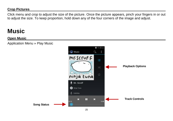#### **Crop Pictures**

Click menu and crop to adjust the size of the picture. Once the picture appears, pinch your fingers in or out to adjust the size. To keep proportion, hold down any of the four corners of the image and adjust.

### <span id="page-24-0"></span>**Music**

#### **Open Music**

Application Menu » Play Music

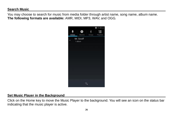#### **Search Music**

You may choose to search for music from media folder through artist name, song name, album name. **The following formats are available:** AMR, MIDI, MP3, WAV, and OGG.



#### **Set Music Player in the Background**

Click on the Home key to move the Music Player to the background. You will see an icon on the status bar indicating that the music player is active.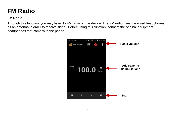### <span id="page-26-0"></span>**FM Radio**

#### **FM Radio**

Through this function, you may listen to FM radio on the device. The FM radio uses the wired headphones as an antenna in order to receive signal. Before using this function, connect the original equipment headphones that came with the phone.

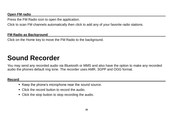#### **Open FM radio**

Press the FM Radio icon to open the application.

Click to scan FM channels automatically then click to add any of your favorite radio stations.

#### **FM Radio as Background**

Click on the Home key to move the FM Radio to the background.

### <span id="page-27-0"></span>**Sound Recorder**

You may send any recorded audio via Bluetooth or MMS and also have the option to make any recorded audio the phones default ring tone. The recorder uses AMR, 3GPP and OGG format.

#### **Record**

- Keep the phone's microphone near the sound source.
- Click the record button to record the audio.
- Click the stop button to stop recording the audio.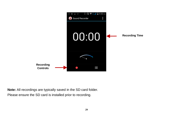

**Note:** All recordings are typically saved in the SD card folder. Please ensure the SD card is installed prior to recording.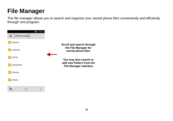### <span id="page-29-0"></span>**File Manager**

The file manager allows you to search and organize your stored phone files conveniently and efficiently through one program.

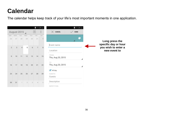### <span id="page-30-0"></span>**Calendar**

The calendar helps keep track of your life's most important moments in one application.

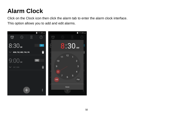### <span id="page-31-0"></span>**Alarm Clock**

Click on the Clock icon then click the alarm tab to enter the alarm clock interface. This option allows you to add and edit alarms.

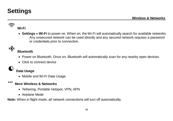### <span id="page-32-0"></span>**Settings**

#### $\widehat{\mathcal{F}}$ **Wi-Fi**

 **Settings » Wi-Fi** to power on. When on, the Wi-Fi will automatically search for available networks. Any unsecured network can be used directly and any secured network requires a password or credentials prior to connection.



#### **Bluetooth**

- Power on Bluetooth. Once on, Bluetooth will automatically scan for any nearby open devices.
- Click to connect device

### **Data Usage**

Mobile and Wi-Fi Data Usage

#### $\cdots$ **More Wireless & Networks**

- Tethering, Portable Hotspot, VPN, APN
- Airplane Mode

**Note:** When in flight mode, all network connections will turn off automatically.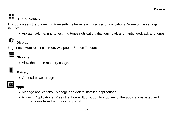#### $\blacksquare$ m **Audio Profiles**

This option sets the phone ring tone settings for receiving calls and notifications. Some of the settings include:

Vibrate, volume, ring tones, ring tones notification, dial touchpad, and haptic feedback and tones



Brightness, Auto rotating screen, Wallpaper, Screen Timeout

#### **Storage**

• View the phone memory usage.

#### **Battery**

General power usage



#### **Apps**

- Manage applications Manage and delete installed applications.
- Running Applications- Press the 'Force Stop' button to stop any of the applications listed and removes from the running apps list.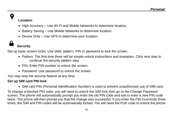### **Location**

- High Accuracy Use Wi-Fi and Mobile Networks to determine location.
- Battery Saving Use Mobile Networks to determine location.
- Device Only Use GPS to determine your location.

#### **Security**

Set up basic screen locks: Use slide, pattern, PIN or password to lock the screen.

- Pattern: The first time there will be simple unlock instructions and examples. Click next step to continue the security pattern step.
- PIN: Enter PIN number to unlock the screen.
- Password: Use password to unlock the screen

*You may stop the security feature at any time.*

#### **Set up SIM card PIN lock**

SIM card PIN (Personal Identification Number) is used to prevent unauthorized use of SIM card.

To change a blocked PIN code, you will need to unlock the SIM lock then go to the Change Password screen. The phone will automatically prompt you enter the old PIN code and ask to enter a new PIN code twice. The phone will then prompt you that the change was successful. If you enter the PIN incorrectly three times, the SIM and PIN codes will be automatically locked. You will need the PUK code to unlock the phone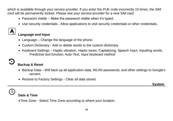which is available through your service provider. If you enter the PUK code incorrectly 10 times, the SIM card will be permanently locked. Please see your service provider for a new SIM card.

- Password visible Make the password visible when it's typed.
- Use security credentials Allow applications to visit security credentials or other credentials.



#### **Language and Input**

- Language Change the language of the phone.
- Custom Dictionary Add or delete words to the custom dictionary.
- Keyboard Settings Haptic vibration, Haptic tones, Capitalizing, Speech Input, Inputting words, Predictive text function, Auto-Text, Input keyboard method

| ٠<br>., |     |          |
|---------|-----|----------|
|         |     | ŕ,       |
|         | e v | ۰.<br>۰. |

#### **Backup & Reset**

- Backup Data Will back up all application data, WLAN passwords, and other settings to Google's servers
- Restore to Factory Settings Clear all data stored.

**1996 System System** 

#### **Date & Time**

Time Zone - Select Time Zone according to where your location.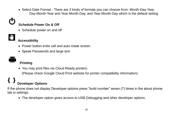• Select Date Format - There are 3 kinds of formats you can choose from: Month-Day-Year, Day-Month-Year and Year-Month-Day, and Year-Month-Day which is the default setting

#### **Schedule Power On & Off**

Schedule power on and off



### **Accessibility**

- . Power button ends call and auto rotate screen
- Speak Passwords and large text

### **Printing**

You may print files via Cloud Ready printers.

(Please check Google Cloud Print website for printer compatibility information)

## **Developer Options**

If the phone does not display Developer options press "build number" seven (7) times in the about phone tab in settings.

• The developer option gives access to USB Debugging and other developer options.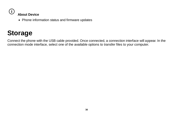

Phone information status and firmware updates

### <span id="page-37-0"></span>**Storage**

Connect the phone with the USB cable provided. Once connected, a connection interface will appear. In the connection mode interface, select one of the available options to transfer files to your computer.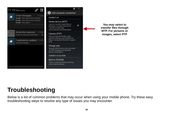

**You may select to transfer files through MTP. For pictures or images, select PTP**

### <span id="page-38-0"></span>**Troubleshooting**

Below is a list of common problems that may occur when using your mobile phone. Try these easy troubleshooting steps to resolve any type of issues you may encounter.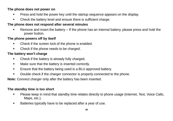#### **The phone does not power on**

- Press and hold the power key until the startup sequence appears on the display.
- Check the battery level and ensure there is sufficient charge.

#### **The phone does not respond after several minutes**

 Remove and insert the battery – If the phone has an internal battery, please press and hold the power button.

#### **The phone powers off by itself**

- Check if the screen lock of the phone is enabled.
- Check if the phone needs to be charged.

#### **The battery won't charge**

- Check if the battery is already fully charged.
- **Make sure that the battery is inserted correctly.**
- Ensure that the battery being used is a BLU approved battery.
- Double check if the charger connector is properly connected to the phone.

**Note:** Connect charger only after the battery has been inserted.

#### **The standby time is too short**

- Please keep in mind that standby time relates directly to phone usage (Internet, Text, Voice Calls, Maps, etc.).
- Batteries typically have to be replaced after a year of use.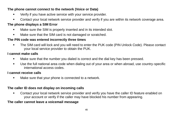#### **The phone cannot connect to the network (Voice or Data)**

- Verify if you have active service with your service provider.
- Contact your local network service provider and verify if you are within its network coverage area.

#### **The phone displays a SIM Error**

- Make sure the SIM is properly inserted and in its intended slot.
- Make sure that the SIM card is not damaged or scratched.

#### **The PIN code was entered incorrectly three times**

 The SIM card will lock and you will need to enter the PUK code (PIN Unlock Code). Please contact your local service provider to obtain the PUK.

#### **I cannot make calls**

- Make sure that the number you dialed is correct and the dial key has been pressed.
- Use the full national area code when dialing out of your area or when abroad, use country-specific international access codes.

#### **I cannot receive calls**

Make sure that your phone is connected to a network.

#### **The caller ID does not display on incoming calls**

 Contact your local network service provider and verify you have the caller ID feature enabled on your account or verify if the caller may have blocked his number from appearing.

#### **The caller cannot leave a voicemail message**